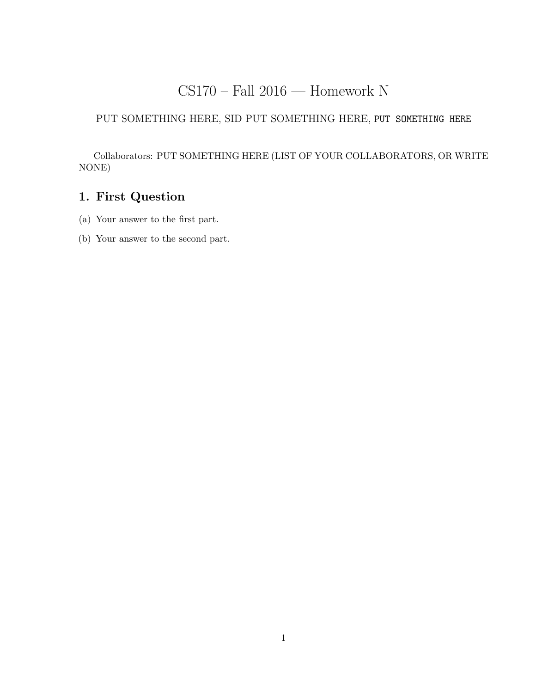# CS170 – Fall 2016 — Homework N

### PUT SOMETHING HERE, SID PUT SOMETHING HERE, PUT SOMETHING HERE

Collaborators: PUT SOMETHING HERE (LIST OF YOUR COLLABORATORS, OR WRITE NONE)

# 1. First Question

- (a) Your answer to the first part.
- (b) Your answer to the second part.